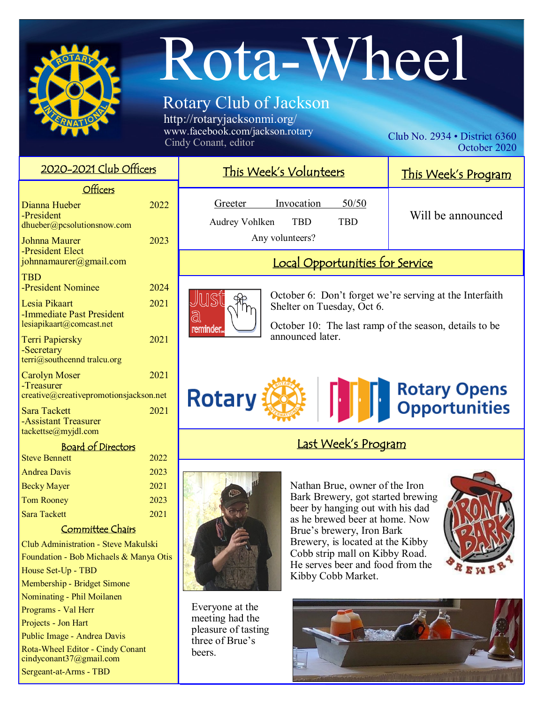

Becky Mayer 2021 Tom Rooney 2023 Sara Tackett 2021 Committee Chairs

Club Administration - Steve Makulski Foundation - Bob Michaels & Manya Otis

House Set-Up - TBD

Programs - Val Herr Projects - Jon Hart

Membership - Bridget Simone Nominating - Phil Moilanen

Public Image - Andrea Davis Rota-Wheel Editor - Cindy Conant cindyconant37@gmail.com Sergeant-at-Arms - TBD

# Rota-Wheel

## Rotary Club of Jackson

http://rotaryjacksonmi.org/ www.facebook.com/jackson.rotary<br>Cindy Conant, editor

Club No.  $2934 \cdot$  District 6360 October 2020

| <u>2020–2021 Club Officers</u>                                                                                                                                                    |                      | This Week's Volunteers                                                                                                                                                                 | This Week's Program                   |
|-----------------------------------------------------------------------------------------------------------------------------------------------------------------------------------|----------------------|----------------------------------------------------------------------------------------------------------------------------------------------------------------------------------------|---------------------------------------|
| Officers<br>Dianna Hueber<br>-President<br>dhueber@pcsolutionsnow.com<br>Johnna Maurer                                                                                            | 2022<br>2023         | 50/50<br>Invocation<br>Greeter<br><b>TBD</b><br><b>TBD</b><br>Audrey Vohlken<br>Any volunteers?                                                                                        | Will be announced                     |
| -President Elect<br>johnnamaurer@gmail.com                                                                                                                                        |                      | Local Opportunities for Service                                                                                                                                                        |                                       |
| <b>TBD</b><br>-President Nominee<br>Lesia Pikaart<br>-Immediate Past President<br>lesiapikaart@comcast.net<br><b>Terri Papiersky</b><br>-Secretary<br>terri@southcennd tralcu.org | 2024<br>2021<br>2021 | October 6: Don't forget we're serving at the Interfaith<br>Shelter on Tuesday, Oct 6.<br>ධි<br>October 10: The last ramp of the season, details to be<br>reminder.<br>announced later. |                                       |
| 2021<br><b>Carolyn Moser</b><br>-Treasurer<br>creative@creativepromotionsjackson.net<br>2021<br><b>Sara Tackett</b><br>-Assistant Treasurer                                       |                      | <b>Rotary</b>                                                                                                                                                                          | <b>Rotary Opens<br/>Opportunities</b> |
| tackettse@myjdl.com<br><b>Board of Directors</b><br><b>Steve Bennett</b>                                                                                                          | 2022                 | Last Week's Program                                                                                                                                                                    |                                       |
| <b>Andrea Davis</b>                                                                                                                                                               | 2023                 |                                                                                                                                                                                        |                                       |



Everyone at the meeting had the pleasure of tasting three of Brue's **beers** 

Nathan Brue, owner of the Iron Bark Brewery, got started brewing beer by hanging out with his dad as he brewed beer at home. Now Brue's brewery, Iron Bark Brewery, is located at the Kibby Cobb strip mall on Kibby Road. He serves beer and food from the Kibby Cobb Market.